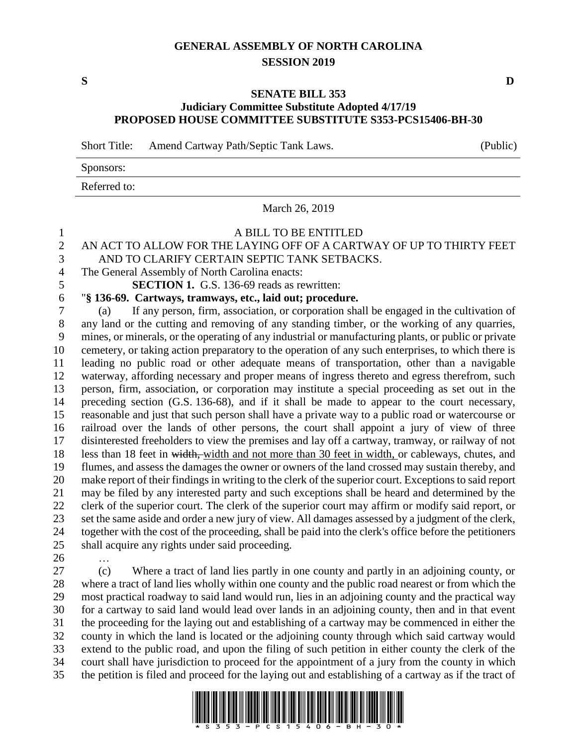## **GENERAL ASSEMBLY OF NORTH CAROLINA SESSION 2019**

## **SENATE BILL 353 Judiciary Committee Substitute Adopted 4/17/19 PROPOSED HOUSE COMMITTEE SUBSTITUTE S353-PCS15406-BH-30**

Short Title: Amend Cartway Path/Septic Tank Laws. (Public)

| Sponsors:    |  |
|--------------|--|
| Referred to: |  |

March 26, 2019

## A BILL TO BE ENTITLED

- AN ACT TO ALLOW FOR THE LAYING OFF OF A CARTWAY OF UP TO THIRTY FEET AND TO CLARIFY CERTAIN SEPTIC TANK SETBACKS.
- The General Assembly of North Carolina enacts:
- **SECTION 1.** G.S. 136-69 reads as rewritten:
- "**§ 136-69. Cartways, tramways, etc., laid out; procedure.**

 (a) If any person, firm, association, or corporation shall be engaged in the cultivation of any land or the cutting and removing of any standing timber, or the working of any quarries, mines, or minerals, or the operating of any industrial or manufacturing plants, or public or private cemetery, or taking action preparatory to the operation of any such enterprises, to which there is leading no public road or other adequate means of transportation, other than a navigable waterway, affording necessary and proper means of ingress thereto and egress therefrom, such person, firm, association, or corporation may institute a special proceeding as set out in the preceding section (G.S. 136-68), and if it shall be made to appear to the court necessary, reasonable and just that such person shall have a private way to a public road or watercourse or railroad over the lands of other persons, the court shall appoint a jury of view of three disinterested freeholders to view the premises and lay off a cartway, tramway, or railway of not less than 18 feet in width, width and not more than 30 feet in width, or cableways, chutes, and flumes, and assess the damages the owner or owners of the land crossed may sustain thereby, and make report of their findings in writing to the clerk of the superior court. Exceptions to said report may be filed by any interested party and such exceptions shall be heard and determined by the clerk of the superior court. The clerk of the superior court may affirm or modify said report, or set the same aside and order a new jury of view. All damages assessed by a judgment of the clerk, together with the cost of the proceeding, shall be paid into the clerk's office before the petitioners shall acquire any rights under said proceeding.

…

 (c) Where a tract of land lies partly in one county and partly in an adjoining county, or where a tract of land lies wholly within one county and the public road nearest or from which the most practical roadway to said land would run, lies in an adjoining county and the practical way for a cartway to said land would lead over lands in an adjoining county, then and in that event the proceeding for the laying out and establishing of a cartway may be commenced in either the county in which the land is located or the adjoining county through which said cartway would extend to the public road, and upon the filing of such petition in either county the clerk of the court shall have jurisdiction to proceed for the appointment of a jury from the county in which the petition is filed and proceed for the laying out and establishing of a cartway as if the tract of



**S D**